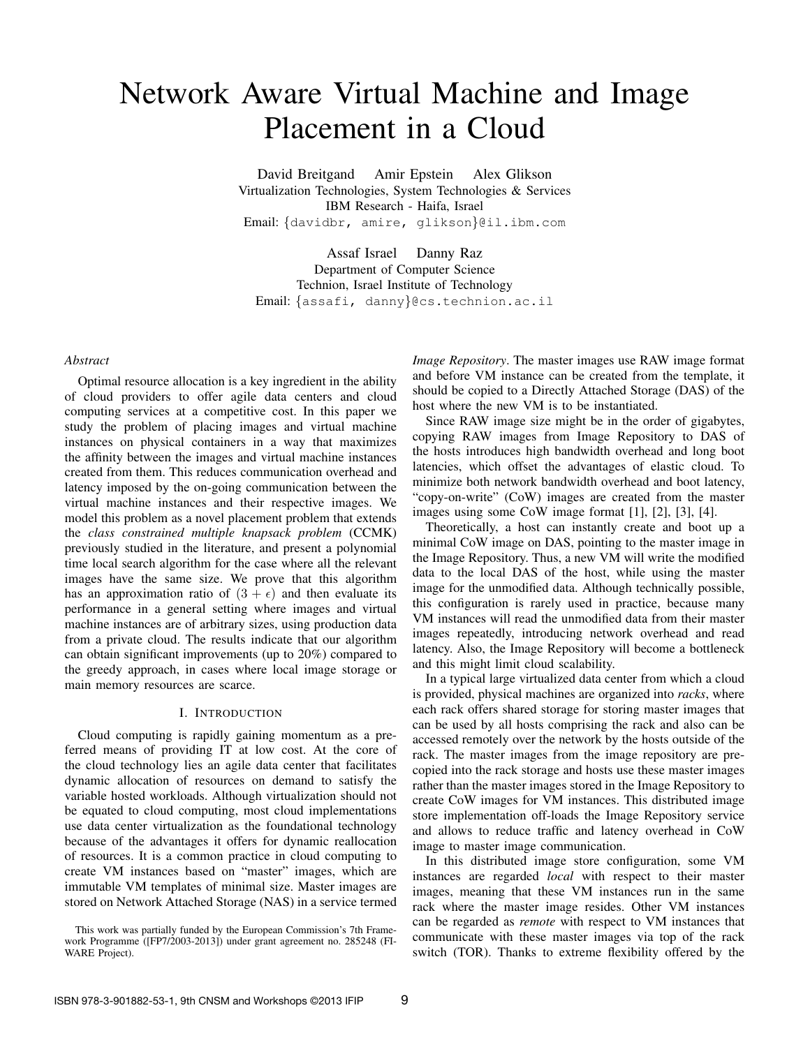# Network Aware Virtual Machine and Image Placement in a Cloud

David Breitgand Amir Epstein Alex Glikson Virtualization Technologies, System Technologies & Services IBM Research - Haifa, Israel Email: {davidbr, amire, glikson}@il.ibm.com

Assaf Israel Danny Raz Department of Computer Science Technion, Israel Institute of Technology Email: {assafi, danny}@cs.technion.ac.il

# *Abstract*

Optimal resource allocation is a key ingredient in the ability of cloud providers to offer agile data centers and cloud computing services at a competitive cost. In this paper we study the problem of placing images and virtual machine instances on physical containers in a way that maximizes the affinity between the images and virtual machine instances created from them. This reduces communication overhead and latency imposed by the on-going communication between the virtual machine instances and their respective images. We model this problem as a novel placement problem that extends the *class constrained multiple knapsack problem* (CCMK) previously studied in the literature, and present a polynomial time local search algorithm for the case where all the relevant images have the same size. We prove that this algorithm has an approximation ratio of  $(3 + \epsilon)$  and then evaluate its performance in a general setting where images and virtual machine instances are of arbitrary sizes, using production data from a private cloud. The results indicate that our algorithm can obtain significant improvements (up to 20%) compared to the greedy approach, in cases where local image storage or main memory resources are scarce.

## I. INTRODUCTION

Cloud computing is rapidly gaining momentum as a preferred means of providing IT at low cost. At the core of the cloud technology lies an agile data center that facilitates dynamic allocation of resources on demand to satisfy the variable hosted workloads. Although virtualization should not be equated to cloud computing, most cloud implementations use data center virtualization as the foundational technology because of the advantages it offers for dynamic reallocation of resources. It is a common practice in cloud computing to create VM instances based on "master" images, which are immutable VM templates of minimal size. Master images are stored on Network Attached Storage (NAS) in a service termed

*Image Repository*. The master images use RAW image format and before VM instance can be created from the template, it should be copied to a Directly Attached Storage (DAS) of the host where the new VM is to be instantiated.

Since RAW image size might be in the order of gigabytes, copying RAW images from Image Repository to DAS of the hosts introduces high bandwidth overhead and long boot latencies, which offset the advantages of elastic cloud. To minimize both network bandwidth overhead and boot latency, "copy-on-write" (CoW) images are created from the master images using some CoW image format [1], [2], [3], [4].

Theoretically, a host can instantly create and boot up a minimal CoW image on DAS, pointing to the master image in the Image Repository. Thus, a new VM will write the modified data to the local DAS of the host, while using the master image for the unmodified data. Although technically possible, this configuration is rarely used in practice, because many VM instances will read the unmodified data from their master images repeatedly, introducing network overhead and read latency. Also, the Image Repository will become a bottleneck and this might limit cloud scalability.

In a typical large virtualized data center from which a cloud is provided, physical machines are organized into *racks*, where each rack offers shared storage for storing master images that can be used by all hosts comprising the rack and also can be accessed remotely over the network by the hosts outside of the rack. The master images from the image repository are precopied into the rack storage and hosts use these master images rather than the master images stored in the Image Repository to create CoW images for VM instances. This distributed image store implementation off-loads the Image Repository service and allows to reduce traffic and latency overhead in CoW image to master image communication.

In this distributed image store configuration, some VM instances are regarded *local* with respect to their master images, meaning that these VM instances run in the same rack where the master image resides. Other VM instances can be regarded as *remote* with respect to VM instances that communicate with these master images via top of the rack switch (TOR). Thanks to extreme flexibility offered by the

This work was partially funded by the European Commission's 7th Framework Programme ([FP7/2003-2013]) under grant agreement no. 285248 (FI-WARE Project).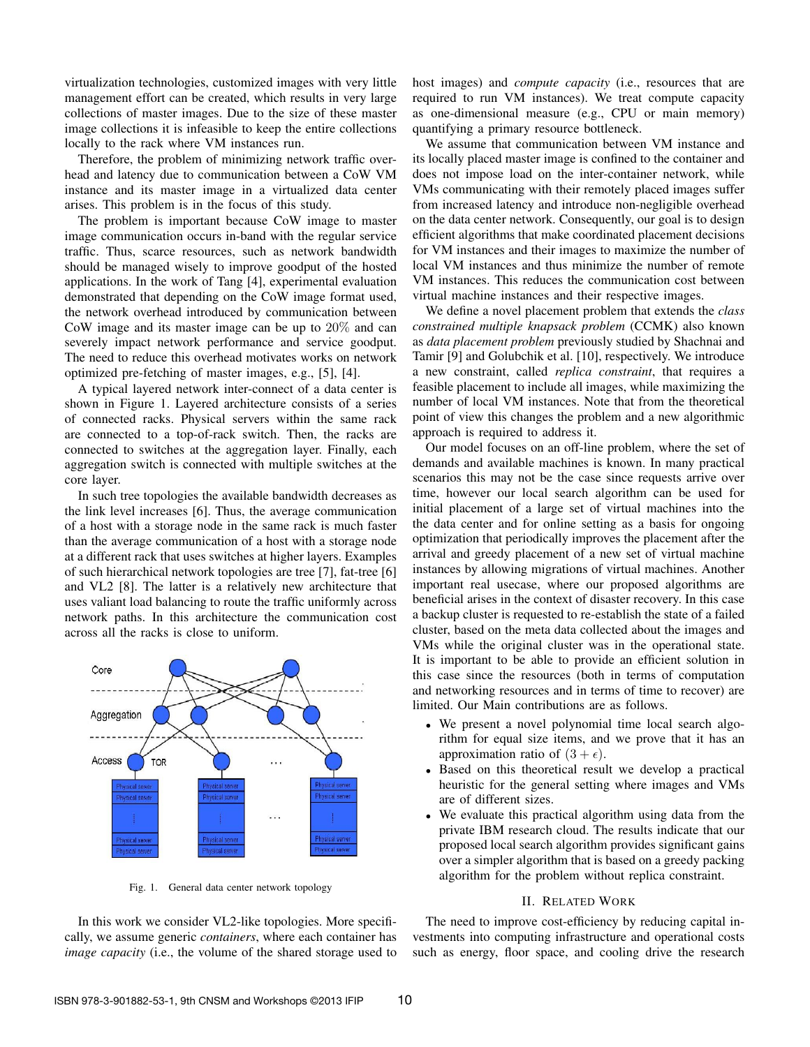virtualization technologies, customized images with very little management effort can be created, which results in very large collections of master images. Due to the size of these master image collections it is infeasible to keep the entire collections locally to the rack where VM instances run.

Therefore, the problem of minimizing network traffic overhead and latency due to communication between a CoW VM instance and its master image in a virtualized data center arises. This problem is in the focus of this study.

The problem is important because CoW image to master image communication occurs in-band with the regular service traffic. Thus, scarce resources, such as network bandwidth should be managed wisely to improve goodput of the hosted applications. In the work of Tang [4], experimental evaluation demonstrated that depending on the CoW image format used, the network overhead introduced by communication between CoW image and its master image can be up to 20% and can severely impact network performance and service goodput. The need to reduce this overhead motivates works on network optimized pre-fetching of master images, e.g., [5], [4].

A typical layered network inter-connect of a data center is shown in Figure 1. Layered architecture consists of a series of connected racks. Physical servers within the same rack are connected to a top-of-rack switch. Then, the racks are connected to switches at the aggregation layer. Finally, each aggregation switch is connected with multiple switches at the core layer.

In such tree topologies the available bandwidth decreases as the link level increases [6]. Thus, the average communication of a host with a storage node in the same rack is much faster than the average communication of a host with a storage node at a different rack that uses switches at higher layers. Examples of such hierarchical network topologies are tree [7], fat-tree [6] and VL2 [8]. The latter is a relatively new architecture that uses valiant load balancing to route the traffic uniformly across network paths. In this architecture the communication cost across all the racks is close to uniform.



Fig. 1. General data center network topology

In this work we consider VL2-like topologies. More specifically, we assume generic *containers*, where each container has *image capacity* (i.e., the volume of the shared storage used to host images) and *compute capacity* (i.e., resources that are required to run VM instances). We treat compute capacity as one-dimensional measure (e.g., CPU or main memory) quantifying a primary resource bottleneck.

We assume that communication between VM instance and its locally placed master image is confined to the container and does not impose load on the inter-container network, while VMs communicating with their remotely placed images suffer from increased latency and introduce non-negligible overhead on the data center network. Consequently, our goal is to design efficient algorithms that make coordinated placement decisions for VM instances and their images to maximize the number of local VM instances and thus minimize the number of remote VM instances. This reduces the communication cost between virtual machine instances and their respective images.

We define a novel placement problem that extends the *class constrained multiple knapsack problem* (CCMK) also known as *data placement problem* previously studied by Shachnai and Tamir [9] and Golubchik et al. [10], respectively. We introduce a new constraint, called *replica constraint*, that requires a feasible placement to include all images, while maximizing the number of local VM instances. Note that from the theoretical point of view this changes the problem and a new algorithmic approach is required to address it.

Our model focuses on an off-line problem, where the set of demands and available machines is known. In many practical scenarios this may not be the case since requests arrive over time, however our local search algorithm can be used for initial placement of a large set of virtual machines into the the data center and for online setting as a basis for ongoing optimization that periodically improves the placement after the arrival and greedy placement of a new set of virtual machine instances by allowing migrations of virtual machines. Another important real usecase, where our proposed algorithms are beneficial arises in the context of disaster recovery. In this case a backup cluster is requested to re-establish the state of a failed cluster, based on the meta data collected about the images and VMs while the original cluster was in the operational state. It is important to be able to provide an efficient solution in this case since the resources (both in terms of computation and networking resources and in terms of time to recover) are limited. Our Main contributions are as follows.

- We present a novel polynomial time local search algorithm for equal size items, and we prove that it has an approximation ratio of  $(3 + \epsilon)$ .
- Based on this theoretical result we develop a practical heuristic for the general setting where images and VMs are of different sizes.
- We evaluate this practical algorithm using data from the private IBM research cloud. The results indicate that our proposed local search algorithm provides significant gains over a simpler algorithm that is based on a greedy packing algorithm for the problem without replica constraint.

### II. RELATED WORK

The need to improve cost-efficiency by reducing capital investments into computing infrastructure and operational costs such as energy, floor space, and cooling drive the research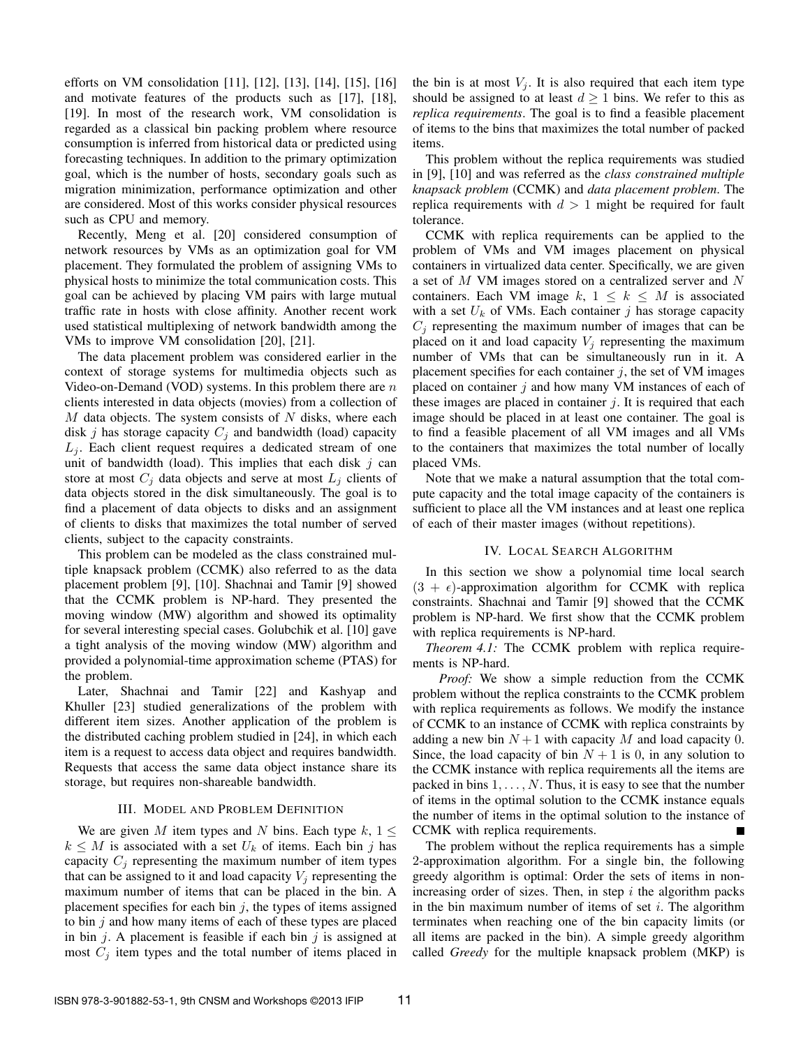efforts on VM consolidation [11], [12], [13], [14], [15], [16] and motivate features of the products such as [17], [18], [19]. In most of the research work, VM consolidation is regarded as a classical bin packing problem where resource consumption is inferred from historical data or predicted using forecasting techniques. In addition to the primary optimization goal, which is the number of hosts, secondary goals such as migration minimization, performance optimization and other are considered. Most of this works consider physical resources such as CPU and memory.

Recently, Meng et al. [20] considered consumption of network resources by VMs as an optimization goal for VM placement. They formulated the problem of assigning VMs to physical hosts to minimize the total communication costs. This goal can be achieved by placing VM pairs with large mutual traffic rate in hosts with close affinity. Another recent work used statistical multiplexing of network bandwidth among the VMs to improve VM consolidation [20], [21].

The data placement problem was considered earlier in the context of storage systems for multimedia objects such as Video-on-Demand (VOD) systems. In this problem there are  $n$ clients interested in data objects (movies) from a collection of  $M$  data objects. The system consists of  $N$  disks, where each disk j has storage capacity  $C_j$  and bandwidth (load) capacity  $L_j$ . Each client request requires a dedicated stream of one unit of bandwidth (load). This implies that each disk  $j$  can store at most  $C_j$  data objects and serve at most  $L_j$  clients of data objects stored in the disk simultaneously. The goal is to find a placement of data objects to disks and an assignment of clients to disks that maximizes the total number of served clients, subject to the capacity constraints.

This problem can be modeled as the class constrained multiple knapsack problem (CCMK) also referred to as the data placement problem [9], [10]. Shachnai and Tamir [9] showed that the CCMK problem is NP-hard. They presented the moving window (MW) algorithm and showed its optimality for several interesting special cases. Golubchik et al. [10] gave a tight analysis of the moving window (MW) algorithm and provided a polynomial-time approximation scheme (PTAS) for the problem.

Later, Shachnai and Tamir [22] and Kashyap and Khuller [23] studied generalizations of the problem with different item sizes. Another application of the problem is the distributed caching problem studied in [24], in which each item is a request to access data object and requires bandwidth. Requests that access the same data object instance share its storage, but requires non-shareable bandwidth.

## III. MODEL AND PROBLEM DEFINITION

We are given M item types and N bins. Each type  $k, 1 \leq$  $k \leq M$  is associated with a set  $U_k$  of items. Each bin j has capacity  $C_i$  representing the maximum number of item types that can be assigned to it and load capacity  $V_j$  representing the maximum number of items that can be placed in the bin. A placement specifies for each bin  $j$ , the types of items assigned to bin  $j$  and how many items of each of these types are placed in bin  $j$ . A placement is feasible if each bin  $j$  is assigned at most  $C_i$  item types and the total number of items placed in the bin is at most  $V_i$ . It is also required that each item type should be assigned to at least  $d \ge 1$  bins. We refer to this as *replica requirements*. The goal is to find a feasible placement of items to the bins that maximizes the total number of packed items.

This problem without the replica requirements was studied in [9], [10] and was referred as the *class constrained multiple knapsack problem* (CCMK) and *data placement problem*. The replica requirements with  $d > 1$  might be required for fault tolerance.

CCMK with replica requirements can be applied to the problem of VMs and VM images placement on physical containers in virtualized data center. Specifically, we are given a set of M VM images stored on a centralized server and N containers. Each VM image  $k, 1 \leq k \leq M$  is associated with a set  $U_k$  of VMs. Each container j has storage capacity  $C_i$  representing the maximum number of images that can be placed on it and load capacity  $V_j$  representing the maximum number of VMs that can be simultaneously run in it. A placement specifies for each container  $j$ , the set of VM images placed on container  $j$  and how many VM instances of each of these images are placed in container  $i$ . It is required that each image should be placed in at least one container. The goal is to find a feasible placement of all VM images and all VMs to the containers that maximizes the total number of locally placed VMs.

Note that we make a natural assumption that the total compute capacity and the total image capacity of the containers is sufficient to place all the VM instances and at least one replica of each of their master images (without repetitions).

## IV. LOCAL SEARCH ALGORITHM

In this section we show a polynomial time local search  $(3 + \epsilon)$ -approximation algorithm for CCMK with replica constraints. Shachnai and Tamir [9] showed that the CCMK problem is NP-hard. We first show that the CCMK problem with replica requirements is NP-hard.

*Theorem 4.1:* The CCMK problem with replica requirements is NP-hard.

*Proof:* We show a simple reduction from the CCMK problem without the replica constraints to the CCMK problem with replica requirements as follows. We modify the instance of CCMK to an instance of CCMK with replica constraints by adding a new bin  $N+1$  with capacity M and load capacity 0. Since, the load capacity of bin  $N + 1$  is 0, in any solution to the CCMK instance with replica requirements all the items are packed in bins  $1, \ldots, N$ . Thus, it is easy to see that the number of items in the optimal solution to the CCMK instance equals the number of items in the optimal solution to the instance of CCMK with replica requirements.

The problem without the replica requirements has a simple 2-approximation algorithm. For a single bin, the following greedy algorithm is optimal: Order the sets of items in nonincreasing order of sizes. Then, in step  $i$  the algorithm packs in the bin maximum number of items of set  $i$ . The algorithm terminates when reaching one of the bin capacity limits (or all items are packed in the bin). A simple greedy algorithm called *Greedy* for the multiple knapsack problem (MKP) is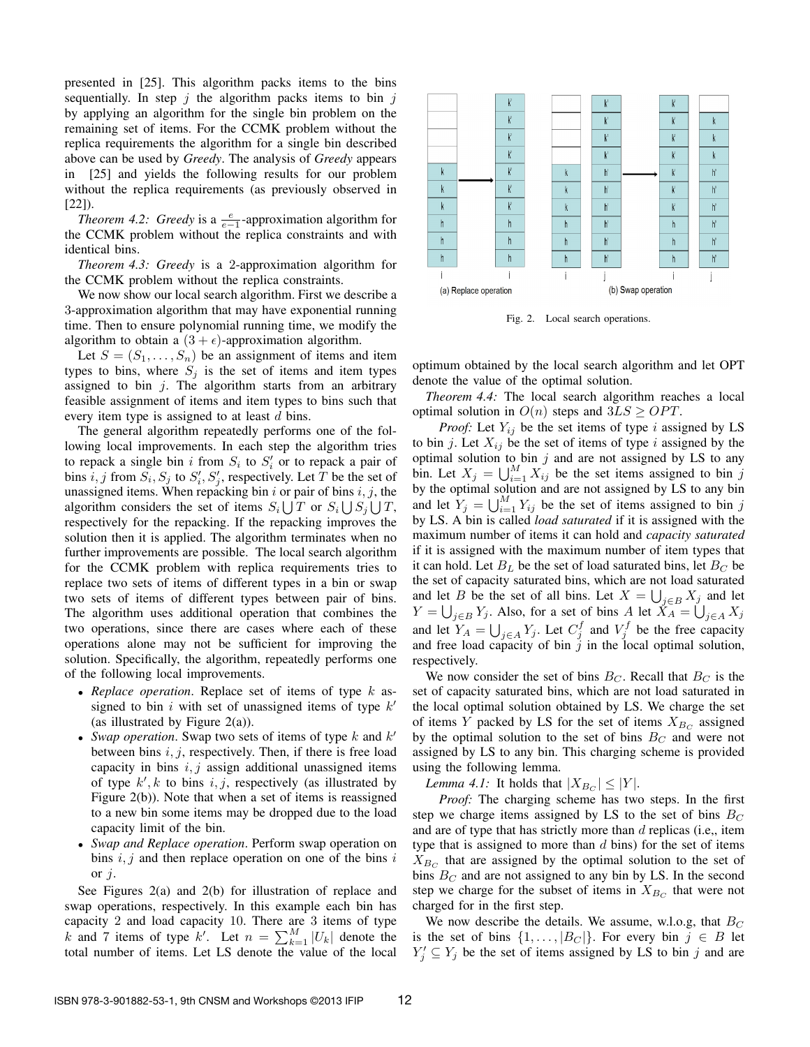presented in [25]. This algorithm packs items to the bins sequentially. In step  $j$  the algorithm packs items to bin  $j$ by applying an algorithm for the single bin problem on the remaining set of items. For the CCMK problem without the replica requirements the algorithm for a single bin described above can be used by *Greedy*. The analysis of *Greedy* appears in [25] and yields the following results for our problem without the replica requirements (as previously observed in [22]).

*Theorem 4.2: Greedy* is a  $\frac{e}{e-1}$ -approximation algorithm for the CCMK problem without the replica constraints and with identical bins.

*Theorem 4.3: Greedy* is a 2-approximation algorithm for the CCMK problem without the replica constraints.

We now show our local search algorithm. First we describe a 3-approximation algorithm that may have exponential running time. Then to ensure polynomial running time, we modify the algorithm to obtain a  $(3 + \epsilon)$ -approximation algorithm.

Let  $S = (S_1, \ldots, S_n)$  be an assignment of items and item types to bins, where  $S_j$  is the set of items and item types assigned to bin  $j$ . The algorithm starts from an arbitrary feasible assignment of items and item types to bins such that every item type is assigned to at least d bins.

The general algorithm repeatedly performs one of the following local improvements. In each step the algorithm tries to repack a single bin i from  $S_i$  to  $S'_i$  or to repack a pair of bins  $i, j$  from  $S_i, S_j$  to  $S'_i, S'_j$ , respectively. Let T be the set of unassigned items. When repacking bin i or pair of bins  $i, j$ , the algorithm considers the set of items  $S_i \bigcup T$  or  $S_i \bigcup S_j \bigcup T$ , respectively for the repacking. If the repacking improves the solution then it is applied. The algorithm terminates when no further improvements are possible. The local search algorithm for the CCMK problem with replica requirements tries to replace two sets of items of different types in a bin or swap two sets of items of different types between pair of bins. The algorithm uses additional operation that combines the two operations, since there are cases where each of these operations alone may not be sufficient for improving the solution. Specifically, the algorithm, repeatedly performs one of the following local improvements.

- *Replace operation*. Replace set of items of type k assigned to bin i with set of unassigned items of type  $k'$ (as illustrated by Figure  $2(a)$ ).
- *Swap operation*. Swap two sets of items of type  $k$  and  $k'$ between bins  $i, j$ , respectively. Then, if there is free load capacity in bins  $i, j$  assign additional unassigned items of type  $k', k$  to bins  $i, j$ , respectively (as illustrated by Figure 2(b)). Note that when a set of items is reassigned to a new bin some items may be dropped due to the load capacity limit of the bin.
- *Swap and Replace operation*. Perform swap operation on bins  $i, j$  and then replace operation on one of the bins  $i$ or  $j$ .

See Figures 2(a) and 2(b) for illustration of replace and swap operations, respectively. In this example each bin has capacity 2 and load capacity 10. There are 3 items of type k and 7 items of type k'. Let  $n = \sum_{k=1}^{M} |U_k|$  denote the total number of items. Let LS denote the value of the local



Fig. 2. Local search operations.

optimum obtained by the local search algorithm and let OPT denote the value of the optimal solution.

*Theorem 4.4:* The local search algorithm reaches a local optimal solution in  $O(n)$  steps and  $3LS \geq OPT$ .

*Proof:* Let  $Y_{ij}$  be the set items of type i assigned by LS to bin j. Let  $X_{ij}$  be the set of items of type i assigned by the optimal solution to bin  $j$  and are not assigned by LS to any bin. Let  $X_j = \bigcup_{i=1}^M X_{ij}$  be the set items assigned to bin j by the optimal solution and are not assigned by LS to any bin and let  $Y_j = \bigcup_{i=1}^M Y_{ij}$  be the set of items assigned to bin j by LS. A bin is called *load saturated* if it is assigned with the maximum number of items it can hold and *capacity saturated* if it is assigned with the maximum number of item types that it can hold. Let  $B_L$  be the set of load saturated bins, let  $B_C$  be the set of capacity saturated bins, which are not load saturated and let B be the set of all bins. Let  $X = \bigcup_{j \in B} X_j$  and let  $Y = \bigcup_{j \in B} Y_j$ . Also, for a set of bins A let  $\check{X}_A = \bigcup_{j \in A} X_j$ and let  $Y_A = \bigcup_{j \in A} Y_j$ . Let  $C_j^f$  and  $V_j^f$  be the free capacity and free load capacity of bin  $\tilde{j}$  in the local optimal solution, respectively.

We now consider the set of bins  $B_C$ . Recall that  $B_C$  is the set of capacity saturated bins, which are not load saturated in the local optimal solution obtained by LS. We charge the set of items Y packed by LS for the set of items  $X_{B_C}$  assigned by the optimal solution to the set of bins  $B<sub>C</sub>$  and were not assigned by LS to any bin. This charging scheme is provided using the following lemma.

*Lemma 4.1*: It holds that  $|X_{B_C}| \leq |Y|$ .

*Proof:* The charging scheme has two steps. In the first step we charge items assigned by LS to the set of bins  $B_C$ and are of type that has strictly more than  $d$  replicas (i.e., item type that is assigned to more than  $d$  bins) for the set of items  $X_{B_C}$  that are assigned by the optimal solution to the set of bins  $B_C$  and are not assigned to any bin by LS. In the second step we charge for the subset of items in  $X_{B_C}$  that were not charged for in the first step.

We now describe the details. We assume, w.l.o.g, that  $B_C$ is the set of bins  $\{1, \ldots, |B_C|\}$ . For every bin  $j \in B$  let  $Y_j' \subseteq Y_j$  be the set of items assigned by LS to bin j and are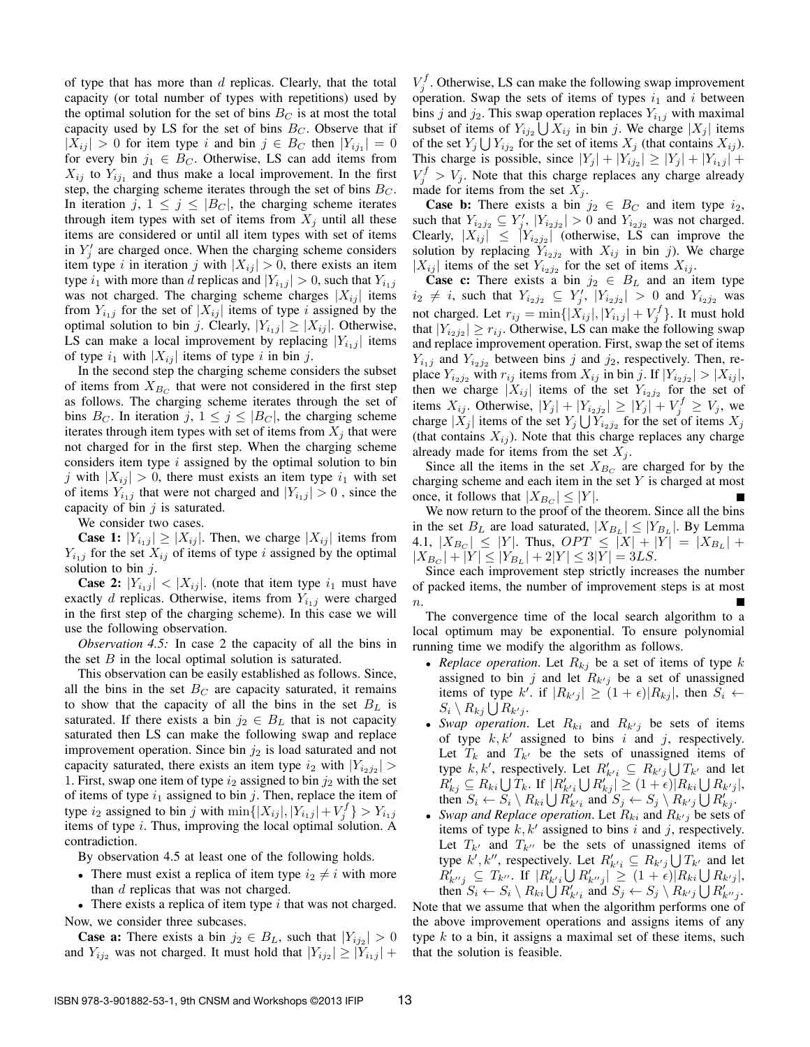of type that has more than  $d$  replicas. Clearly, that the total capacity (or total number of types with repetitions) used by the optimal solution for the set of bins  $B_C$  is at most the total capacity used by LS for the set of bins  $B<sub>C</sub>$ . Observe that if  $|X_{ij}| > 0$  for item type i and bin  $j \in B_C$  then  $|Y_{ij_1}| = 0$ for every bin  $j_1 \in B_C$ . Otherwise, LS can add items from  $X_{ij}$  to  $Y_{ij_1}$  and thus make a local improvement. In the first step, the charging scheme iterates through the set of bins  $B<sub>C</sub>$ . In iteration j,  $1 \leq j \leq |B_C|$ , the charging scheme iterates through item types with set of items from  $X_i$  until all these items are considered or until all item types with set of items in  $Y_j'$  are charged once. When the charging scheme considers item type i in iteration j with  $|X_{ij}| > 0$ , there exists an item type  $i_1$  with more than d replicas and  $|Y_{i_1j}| > 0$ , such that  $Y_{i_1j}$ was not charged. The charging scheme charges  $|X_{ij}|$  items from  $Y_{i,j}$  for the set of  $|X_{ij}|$  items of type i assigned by the optimal solution to bin j. Clearly,  $|Y_{i_1j}| \geq |X_{ij}|$ . Otherwise, LS can make a local improvement by replacing  $|Y_{i,j}|$  items of type  $i_1$  with  $|X_{ij}|$  items of type i in bin j.

In the second step the charging scheme considers the subset of items from  $X_{B_C}$  that were not considered in the first step as follows. The charging scheme iterates through the set of bins  $B_C$ . In iteration j,  $1 \leq j \leq |B_C|$ , the charging scheme iterates through item types with set of items from  $X_i$  that were not charged for in the first step. When the charging scheme considers item type  $i$  assigned by the optimal solution to bin j with  $|X_{ij}| > 0$ , there must exists an item type  $i_1$  with set of items  $Y_{i_1j}$  that were not charged and  $|Y_{i_1j}| > 0$ , since the capacity of bin  $j$  is saturated.

We consider two cases.

**Case 1:**  $|Y_{i,j}| \geq |X_{ij}|$ . Then, we charge  $|X_{ij}|$  items from  $Y_{i,j}$  for the set  $X_{ij}$  of items of type i assigned by the optimal solution to bin  $j$ .

**Case 2:**  $|Y_{i,j}| < |X_{ij}|$ . (note that item type  $i_1$  must have exactly d replicas. Otherwise, items from  $Y_{i_1j}$  were charged in the first step of the charging scheme). In this case we will use the following observation.

*Observation 4.5:* In case 2 the capacity of all the bins in the set  $B$  in the local optimal solution is saturated.

This observation can be easily established as follows. Since, all the bins in the set  $B<sub>C</sub>$  are capacity saturated, it remains to show that the capacity of all the bins in the set  $B_L$  is saturated. If there exists a bin  $j_2 \in B_L$  that is not capacity saturated then LS can make the following swap and replace improvement operation. Since bin  $j_2$  is load saturated and not capacity saturated, there exists an item type  $i_2$  with  $|Y_{i_2j_2}| >$ 1. First, swap one item of type  $i_2$  assigned to bin  $j_2$  with the set of items of type  $i_1$  assigned to bin j. Then, replace the item of type  $i_2$  assigned to bin j with  $\min\{|X_{ij}|, |Y_{i_1j}|+V_j^f\} > Y_{i_1j}$ items of type  $i$ . Thus, improving the local optimal solution. A contradiction.

By observation 4.5 at least one of the following holds.

• There must exist a replica of item type  $i_2 \neq i$  with more than d replicas that was not charged.

• There exists a replica of item type  $i$  that was not charged. Now, we consider three subcases.

**Case a:** There exists a bin  $j_2 \in B_L$ , such that  $|Y_{ij_2}| > 0$ and  $Y_{ij_2}$  was not charged. It must hold that  $|Y_{ij_2}| \geq |Y_{i_1j}| +$ 

 $V_j^f$ . Otherwise, LS can make the following swap improvement operation. Swap the sets of items of types  $i_1$  and i between bins j and  $j_2$ . This swap operation replaces  $Y_{i_1j}$  with maximal subset of items of  $Y_{ij_2} \bigcup X_{ij}$  in bin j. We charge  $|X_j|$  items of the set  $Y_j \bigcup Y_{ij_2}$  for the set of items  $X_j$  (that contains  $X_{ij}$ ). This charge is possible, since  $|Y_j| + |Y_{ij_2}| \ge |Y_j| + |Y_{i_1j}| +$  $V_j^f > V_j$ . Note that this charge replaces any charge already made for items from the set  $X_i$ .

**Case b:** There exists a bin  $j_2 \in B_C$  and item type  $i_2$ , such that  $Y_{i_2j_2} \subseteq Y'_j$ ,  $|Y_{i_2j_2}| > 0$  and  $Y_{i_2j_2}$  was not charged. Clearly,  $|X_{ij}| \leq |Y_{i_2 j_2}|$  (otherwise, LS can improve the solution by replacing  $Y_{i_2j_2}$  with  $X_{ij}$  in bin j). We charge  $|X_{ij}|$  items of the set  $Y_{i_2j_2}$  for the set of items  $X_{ij}$ .

**Case c:** There exists a bin  $j_2 \in B_L$  and an item type  $i_2 \neq i$ , such that  $Y_{i_2j_2} \subseteq Y'_j$ ,  $|Y_{i_2j_2}| > 0$  and  $Y_{i_2j_2}$  was not charged. Let  $r_{ij} = \min\{|\check{X}_{ij}|, |Y_{i,j}| + V_j^f\}$ . It must hold that  $|Y_{i_2 j_2}| \ge r_{ij}$ . Otherwise, LS can make the following swap and replace improvement operation. First, swap the set of items  $Y_{i_1j}$  and  $Y_{i_2j_2}$  between bins j and  $j_2$ , respectively. Then, replace  $Y_{i_2j_2}$  with  $r_{ij}$  items from  $X_{ij}$  in bin j. If  $|Y_{i_2j_2}| > |X_{ij}|$ , then we charge  $|X_{ij}|$  items of the set  $Y_{i_2j_2}$  for the set of items  $X_{ij}$ . Otherwise,  $|Y_j| + |Y_{i_2j_2}| \ge |Y_j| + V_j^f \ge V_j$ , we charge  $|X_j|$  items of the set  $Y_j \bigcup Y_{i_2j_2}$  for the set of items  $X_j$ (that contains  $X_{ij}$ ). Note that this charge replaces any charge already made for items from the set  $X_i$ .

Since all the items in the set  $X_{B_C}$  are charged for by the charging scheme and each item in the set  $Y$  is charged at most once, it follows that  $|X_{B_C}| \leq |Y|$ .

We now return to the proof of the theorem. Since all the bins in the set  $B_L$  are load saturated,  $|X_{B_L}| \leq |Y_{B_L}|$ . By Lemma 4.1,  $|X_{B_C}| \leq |Y|$ . Thus,  $OPT \leq |X| + |Y| = |X_{B_L}| +$  $|X_{B_C}| + |Y| \le |Y_{B_L}| + 2|Y| \le 3|Y| = 3LS.$ 

Since each improvement step strictly increases the number of packed items, the number of improvement steps is at most  $n$ .

The convergence time of the local search algorithm to a local optimum may be exponential. To ensure polynomial running time we modify the algorithm as follows.

- *Replace operation*. Let  $R_{kj}$  be a set of items of type k assigned to bin j and let  $R_{k'j}$  be a set of unassigned items of type k'. if  $|R_{k'j}| \ge (1+\epsilon)|R_{kj}|$ , then  $S_i \leftarrow$  $S_i \setminus R_{kj} \bigcup R_{k'j}$ .
- *Swap operation*. Let  $R_{ki}$  and  $R_{k'j}$  be sets of items of type  $k, k'$  assigned to bins i and j, respectively. Let  $T_k$  and  $T_{k'}$  be the sets of unassigned items of type  $k, k'$ , respectively. Let  $R'_{k'i} \subseteq R_{k'j} \cup T_{k'}$  and let  $R'_{kj} \subseteq R_{ki} \bigcup T_k$ . If  $|R'_{k'i} \bigcup R'_{kj}| \geq (1+\epsilon) \overline{|} R_{ki} \bigcup R_{k'j}|,$ then  $S_i \leftarrow \overline{S}_i \setminus R_{ki} \cup \overline{R}'_{k'i}$  and  $S_j \leftarrow S_j \setminus R_{k'j} \cup \overline{R}'_{kj}$ .
- *Swap and Replace operation*. Let  $R_{ki}$  and  $R_{k'j}$  be sets of items of type  $k, k'$  assigned to bins i and j, respectively. Let  $T_{k}$  and  $T_{k}$  be the sets of unassigned items of type  $k', k''$ , respectively. Let  $R'_{k'i} \subseteq R_{k'j} \bigcup T_{k'}$  and let  $R_{k''j} \subseteq T_{k''}.$  If  $|R'_{k'j}| \bigcup R'_{k''j}| \geq (1+\epsilon) |R_{ki}| \bigcup R_{k'j}|,$ then  $S_i \leftarrow S_i \setminus R_{ki} \bigcup_{i}^{i} R'_{k'i}$  and  $S_j \leftarrow S_j \setminus R_{k'j} \bigcup_{i}^{i} R'_{k''j}$ .

Note that we assume that when the algorithm performs one of the above improvement operations and assigns items of any type  $k$  to a bin, it assigns a maximal set of these items, such that the solution is feasible.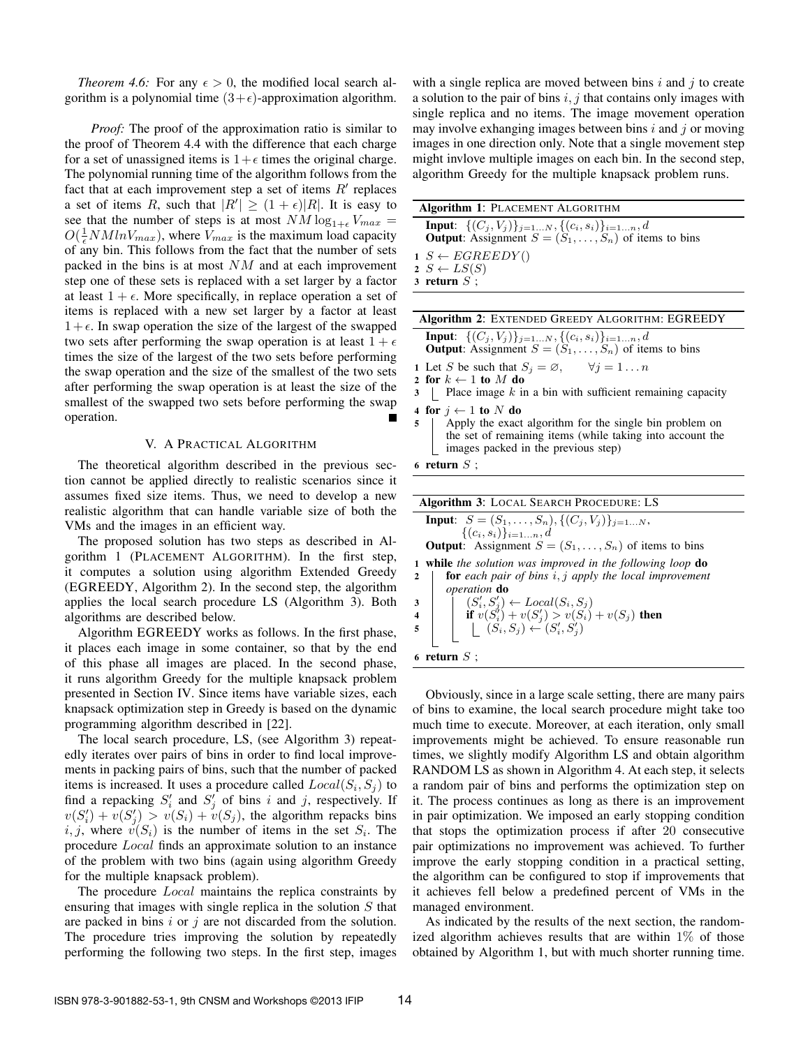*Theorem 4.6:* For any  $\epsilon > 0$ , the modified local search algorithm is a polynomial time  $(3+\epsilon)$ -approximation algorithm.

*Proof:* The proof of the approximation ratio is similar to the proof of Theorem 4.4 with the difference that each charge for a set of unassigned items is  $1+\epsilon$  times the original charge. The polynomial running time of the algorithm follows from the fact that at each improvement step a set of items  $R'$  replaces a set of items R, such that  $|R'| \geq (1 + \epsilon)|R|$ . It is easy to see that the number of steps is at most  $NM \log_{1+\epsilon} V_{max} =$  $O(\frac{1}{\epsilon}NMlnV_{max})$ , where  $V_{max}$  is the maximum load capacity of any bin. This follows from the fact that the number of sets packed in the bins is at most  $NM$  and at each improvement step one of these sets is replaced with a set larger by a factor at least  $1 + \epsilon$ . More specifically, in replace operation a set of items is replaced with a new set larger by a factor at least  $1 + \epsilon$ . In swap operation the size of the largest of the swapped two sets after performing the swap operation is at least  $1 + \epsilon$ times the size of the largest of the two sets before performing the swap operation and the size of the smallest of the two sets after performing the swap operation is at least the size of the smallest of the swapped two sets before performing the swap operation. П

# V. A PRACTICAL ALGORITHM

The theoretical algorithm described in the previous section cannot be applied directly to realistic scenarios since it assumes fixed size items. Thus, we need to develop a new realistic algorithm that can handle variable size of both the VMs and the images in an efficient way.

The proposed solution has two steps as described in Algorithm 1 (PLACEMENT ALGORITHM). In the first step, it computes a solution using algorithm Extended Greedy (EGREEDY, Algorithm 2). In the second step, the algorithm applies the local search procedure LS (Algorithm 3). Both algorithms are described below.

Algorithm EGREEDY works as follows. In the first phase, it places each image in some container, so that by the end of this phase all images are placed. In the second phase, it runs algorithm Greedy for the multiple knapsack problem presented in Section IV. Since items have variable sizes, each knapsack optimization step in Greedy is based on the dynamic programming algorithm described in [22].

The local search procedure, LS, (see Algorithm 3) repeatedly iterates over pairs of bins in order to find local improvements in packing pairs of bins, such that the number of packed items is increased. It uses a procedure called  $Local(S_i, S_j)$  to find a repacking  $S_i'$  and  $S_j'$  of bins i and j, respectively. If  $v(S_i') + v(S_j') > v(S_i) + v(S_j)$ , the algorithm repacks bins  $i, j$ , where  $v(S_i)$  is the number of items in the set  $S_i$ . The procedure Local finds an approximate solution to an instance of the problem with two bins (again using algorithm Greedy for the multiple knapsack problem).

The procedure Local maintains the replica constraints by ensuring that images with single replica in the solution  $S$  that are packed in bins  $i$  or  $j$  are not discarded from the solution. The procedure tries improving the solution by repeatedly performing the following two steps. In the first step, images with a single replica are moved between bins  $i$  and  $j$  to create a solution to the pair of bins  $i, j$  that contains only images with single replica and no items. The image movement operation may involve exhanging images between bins  $i$  and  $j$  or moving images in one direction only. Note that a single movement step might invlove multiple images on each bin. In the second step, algorithm Greedy for the multiple knapsack problem runs.

| <b>Algorithm 1: PLACEMENT ALGORITHM</b>                                                                                                |  |  |  |  |
|----------------------------------------------------------------------------------------------------------------------------------------|--|--|--|--|
| <b>Input:</b> $\{(C_j, V_j)\}_{j=1N}, \{(c_i, s_i)\}_{i=1n}, d$<br><b>Output:</b> Assignment $S = (S_1, \ldots, S_n)$ of items to bins |  |  |  |  |
| $1 S \leftarrow EGREEDY()$<br>$2 S \leftarrow LS(S)$<br>3 return $S$ :                                                                 |  |  |  |  |

| Algorithm 2: EXTENDED GREEDY ALGORITHM: EGREEDY                 |  |
|-----------------------------------------------------------------|--|
| <b>Input:</b> $\{(C_j, V_j)\}_{j=1N}, \{(c_i, s_i)\}_{i=1n}, d$ |  |

**Output:** Assignment  $S = (S_1, \ldots, S_n)$  of items to bins

1 Let S be such that  $S_j = \emptyset$ ,  $\forall j = 1...n$ 

2 for  $k \leftarrow 1$  to M do

```
3 Place image k in a bin with sufficient remaining capacity
```
4 for  $j \leftarrow 1$  to N do

5 Apply the exact algorithm for the single bin problem on the set of remaining items (while taking into account the images packed in the previous step)

```
6 return S;
```

| <b>Algorithm 3: LOCAL SEARCH PROCEDURE: LS</b>                                                                                                                     |  |  |  |  |
|--------------------------------------------------------------------------------------------------------------------------------------------------------------------|--|--|--|--|
| <b>Input:</b> $S = (S_1, \ldots, S_n), \{(C_i, V_i)\}_{i=1N}$<br>$\{(c_i, s_i)\}_{i=1n}, d$<br><b>Output:</b> Assignment $S = (S_1, \ldots, S_n)$ of items to bins |  |  |  |  |
| <b>while</b> the solution was improved in the following loop <b>do</b><br><b>for</b> each pair of bins $i$ , $j$ apply the local improvement<br>$\mathbf{2}$       |  |  |  |  |
| <i>operation</i> do                                                                                                                                                |  |  |  |  |
| $(S'_i, S'_i) \leftarrow Local(S_i, S_j)$<br>3                                                                                                                     |  |  |  |  |
| if $v(S'_i) + v(S'_j) > v(S_i) + v(S_j)$ then<br>$\overline{\mathbf{4}}$                                                                                           |  |  |  |  |
| $(S_i, S_j) \leftarrow (S_i', S_i')$<br>5                                                                                                                          |  |  |  |  |
| 6 return $S$ :                                                                                                                                                     |  |  |  |  |

Obviously, since in a large scale setting, there are many pairs of bins to examine, the local search procedure might take too much time to execute. Moreover, at each iteration, only small improvements might be achieved. To ensure reasonable run times, we slightly modify Algorithm LS and obtain algorithm RANDOM LS as shown in Algorithm 4. At each step, it selects a random pair of bins and performs the optimization step on it. The process continues as long as there is an improvement in pair optimization. We imposed an early stopping condition that stops the optimization process if after 20 consecutive pair optimizations no improvement was achieved. To further improve the early stopping condition in a practical setting, the algorithm can be configured to stop if improvements that it achieves fell below a predefined percent of VMs in the managed environment.

As indicated by the results of the next section, the randomized algorithm achieves results that are within  $1\%$  of those obtained by Algorithm 1, but with much shorter running time.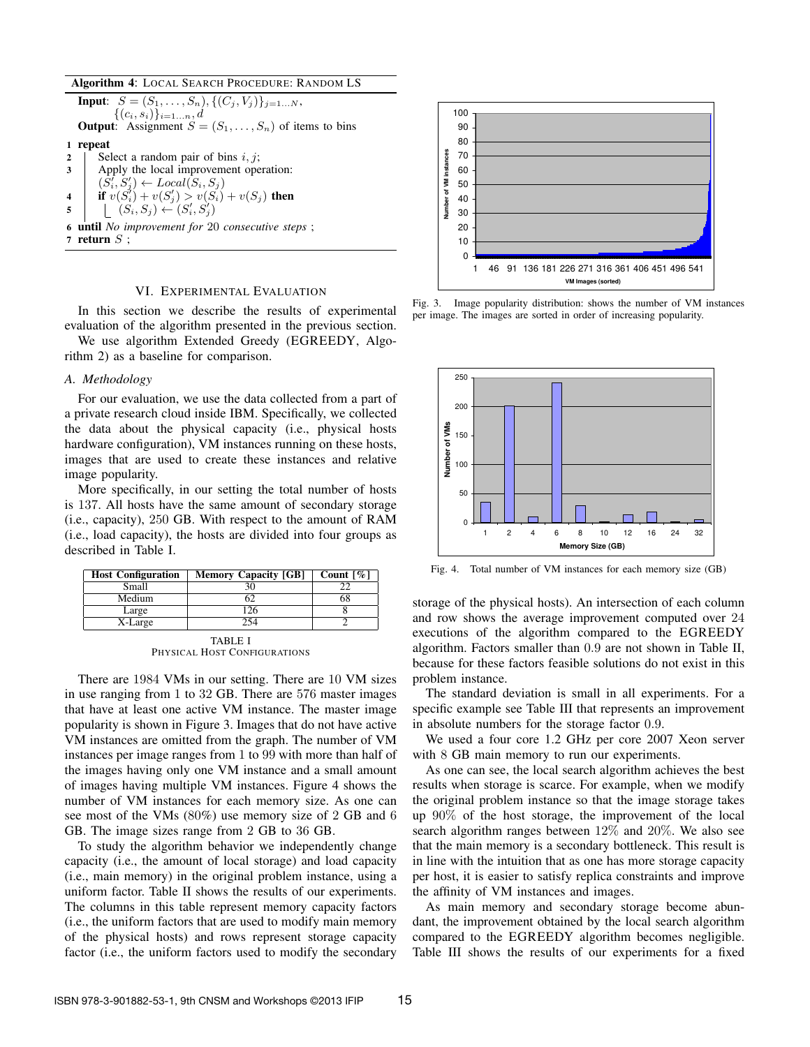#### Algorithm 4: LOCAL SEARCH PROCEDURE: RANDOM LS

|                | <b>Input:</b> $S = (S_1, \ldots, S_n), \{(C_i, V_i)\}_{i=1N}$                                      |
|----------------|----------------------------------------------------------------------------------------------------|
|                | $\{(c_i, s_i)\}_{i=1n}, d$<br><b>Output</b> : Assignment $S = (S_1, \ldots, S_n)$ of items to bins |
| 1              | repeat                                                                                             |
| $\overline{2}$ | Select a random pair of bins $i, j$ ;                                                              |
| 3              | Apply the local improvement operation:                                                             |
|                | $(S'_i, S'_i) \leftarrow Local(S_i, S_i)$                                                          |
| $\overline{4}$ | if $v(S'_i) + v(S'_j) > v(S_i) + v(S_j)$ then                                                      |
| $\overline{5}$ | $\lfloor (S_i, S_j) \leftarrow (S'_i, S'_j)$                                                       |
|                | 6 <b>until</b> No improvement for 20 consecutive steps;                                            |
|                | return $S$ :                                                                                       |
|                |                                                                                                    |

# VI. EXPERIMENTAL EVALUATION

In this section we describe the results of experimental evaluation of the algorithm presented in the previous section.

We use algorithm Extended Greedy (EGREEDY, Algorithm 2) as a baseline for comparison.

#### *A. Methodology*

For our evaluation, we use the data collected from a part of a private research cloud inside IBM. Specifically, we collected the data about the physical capacity (i.e., physical hosts hardware configuration), VM instances running on these hosts, images that are used to create these instances and relative image popularity.

More specifically, in our setting the total number of hosts is 137. All hosts have the same amount of secondary storage (i.e., capacity), 250 GB. With respect to the amount of RAM (i.e., load capacity), the hosts are divided into four groups as described in Table I.

| <b>Host Configuration</b> | <b>Memory Capacity [GB]</b> | Count $\lceil \% \rceil$ |
|---------------------------|-----------------------------|--------------------------|
| Small                     | 30                          |                          |
| Medium                    | 62                          | 68                       |
| Large                     | 26                          |                          |
| X-Large                   | 254                         |                          |
|                           | TABLE I                     |                          |

PHYSICAL HOST CONFIGURATIONS

There are 1984 VMs in our setting. There are 10 VM sizes in use ranging from 1 to 32 GB. There are 576 master images that have at least one active VM instance. The master image popularity is shown in Figure 3. Images that do not have active VM instances are omitted from the graph. The number of VM instances per image ranges from 1 to 99 with more than half of the images having only one VM instance and a small amount of images having multiple VM instances. Figure 4 shows the number of VM instances for each memory size. As one can see most of the VMs (80%) use memory size of 2 GB and 6 GB. The image sizes range from 2 GB to 36 GB.

To study the algorithm behavior we independently change capacity (i.e., the amount of local storage) and load capacity (i.e., main memory) in the original problem instance, using a uniform factor. Table II shows the results of our experiments. The columns in this table represent memory capacity factors (i.e., the uniform factors that are used to modify main memory of the physical hosts) and rows represent storage capacity factor (i.e., the uniform factors used to modify the secondary



Fig. 3. Image popularity distribution: shows the number of VM instances per image. The images are sorted in order of increasing popularity.



Fig. 4. Total number of VM instances for each memory size (GB)

storage of the physical hosts). An intersection of each column and row shows the average improvement computed over 24 executions of the algorithm compared to the EGREEDY algorithm. Factors smaller than 0.9 are not shown in Table II, because for these factors feasible solutions do not exist in this problem instance.

The standard deviation is small in all experiments. For a specific example see Table III that represents an improvement in absolute numbers for the storage factor 0.9.

We used a four core 1.2 GHz per core 2007 Xeon server with 8 GB main memory to run our experiments.

As one can see, the local search algorithm achieves the best results when storage is scarce. For example, when we modify the original problem instance so that the image storage takes up 90% of the host storage, the improvement of the local search algorithm ranges between 12% and 20%. We also see that the main memory is a secondary bottleneck. This result is in line with the intuition that as one has more storage capacity per host, it is easier to satisfy replica constraints and improve the affinity of VM instances and images.

As main memory and secondary storage become abundant, the improvement obtained by the local search algorithm compared to the EGREEDY algorithm becomes negligible. Table III shows the results of our experiments for a fixed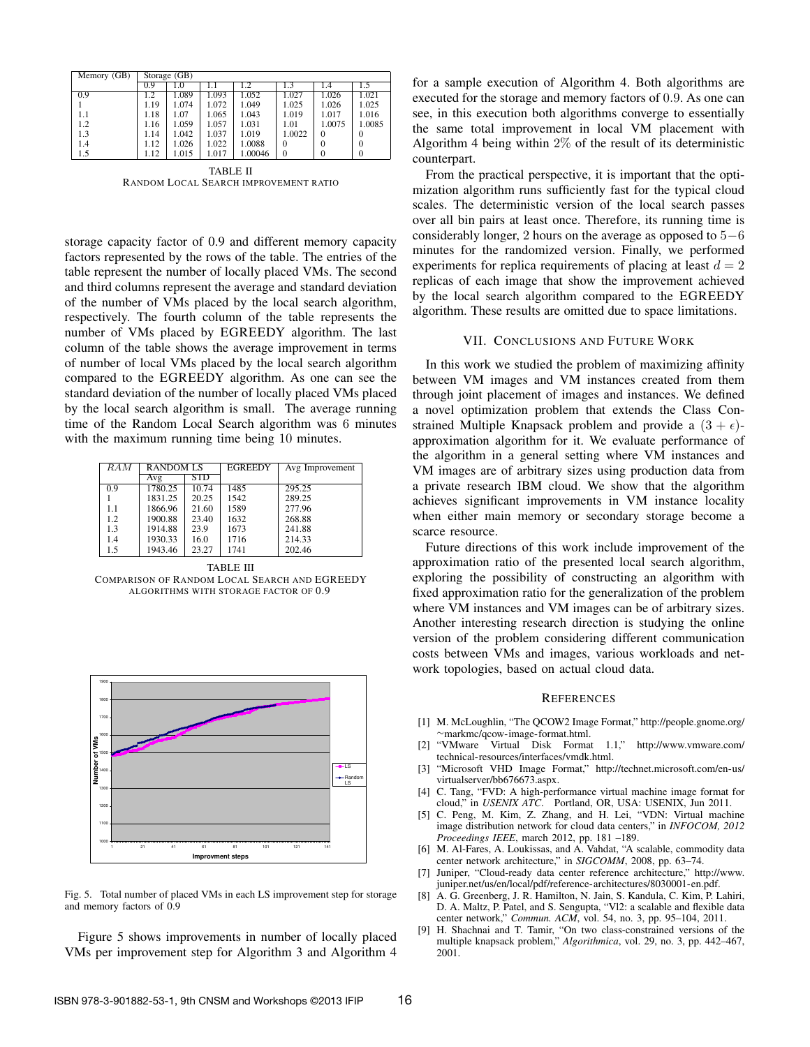| Memory (GB) | Storage (GB) |                  |       |         |          |        |        |
|-------------|--------------|------------------|-------|---------|----------|--------|--------|
|             | 0.9          | $\overline{1.0}$ |       |         |          |        |        |
| 0.9         | 1.2          | 1.089            | 1.093 | 1.052   | 1.027    | 1.026  | 1.021  |
|             | 1.19         | 1.074            | 1.072 | 1.049   | 1.025    | 1.026  | 1.025  |
| 1.1         | 1.18         | 1.07             | 1.065 | 1.043   | 1.019    | 1.017  | 1.016  |
| 1.2         | 1.16         | 1.059            | 1.057 | 1.031   | 1.01     | 1.0075 | 1.0085 |
| 1.3         | 1.14         | 1.042            | 1.037 | 1.019   | 1.0022   | $^{0}$ | 0      |
| 1.4         | 1.12         | 1.026            | 1.022 | 1.0088  | 0        |        | 0      |
| 1.5         | 1.12         | 1.015            | 1.017 | 1.00046 | $\Omega$ |        | 0      |

TABLE II RANDOM LOCAL SEARCH IMPROVEMENT RATIO

storage capacity factor of 0.9 and different memory capacity factors represented by the rows of the table. The entries of the table represent the number of locally placed VMs. The second and third columns represent the average and standard deviation of the number of VMs placed by the local search algorithm, respectively. The fourth column of the table represents the number of VMs placed by EGREEDY algorithm. The last column of the table shows the average improvement in terms of number of local VMs placed by the local search algorithm compared to the EGREEDY algorithm. As one can see the standard deviation of the number of locally placed VMs placed by the local search algorithm is small. The average running time of the Random Local Search algorithm was 6 minutes with the maximum running time being 10 minutes.

| RAM | RANDOM LS |       | <b>EGREEDY</b> | Avg Improvement |
|-----|-----------|-------|----------------|-----------------|
|     | Avg       | STD   |                |                 |
| 0.9 | 1780.25   | 10.74 | 1485           | 295.25          |
|     | 1831.25   | 20.25 | 1542           | 289.25          |
| 1.1 | 1866.96   | 21.60 | 1589           | 277.96          |
| 1.2 | 1900.88   | 23.40 | 1632           | 268.88          |
| 1.3 | 1914.88   | 23.9  | 1673           | 241.88          |
| 1.4 | 1930.33   | 16.0  | 1716           | 214.33          |
| 1.5 | 1943.46   | 23.27 | 1741           | 202.46          |

TABLE III COMPARISON OF RANDOM LOCAL SEARCH AND EGREEDY ALGORITHMS WITH STORAGE FACTOR OF 0.9



Fig. 5. Total number of placed VMs in each LS improvement step for storage and memory factors of 0.9

Figure 5 shows improvements in number of locally placed VMs per improvement step for Algorithm 3 and Algorithm 4 for a sample execution of Algorithm 4. Both algorithms are executed for the storage and memory factors of 0.9. As one can see, in this execution both algorithms converge to essentially the same total improvement in local VM placement with Algorithm 4 being within  $2\%$  of the result of its deterministic counterpart.

From the practical perspective, it is important that the optimization algorithm runs sufficiently fast for the typical cloud scales. The deterministic version of the local search passes over all bin pairs at least once. Therefore, its running time is considerably longer, 2 hours on the average as opposed to  $5-6$ minutes for the randomized version. Finally, we performed experiments for replica requirements of placing at least  $d = 2$ replicas of each image that show the improvement achieved by the local search algorithm compared to the EGREEDY algorithm. These results are omitted due to space limitations.

#### VII. CONCLUSIONS AND FUTURE WORK

In this work we studied the problem of maximizing affinity between VM images and VM instances created from them through joint placement of images and instances. We defined a novel optimization problem that extends the Class Constrained Multiple Knapsack problem and provide a  $(3 + \epsilon)$ approximation algorithm for it. We evaluate performance of the algorithm in a general setting where VM instances and VM images are of arbitrary sizes using production data from a private research IBM cloud. We show that the algorithm achieves significant improvements in VM instance locality when either main memory or secondary storage become a scarce resource.

Future directions of this work include improvement of the approximation ratio of the presented local search algorithm, exploring the possibility of constructing an algorithm with fixed approximation ratio for the generalization of the problem where VM instances and VM images can be of arbitrary sizes. Another interesting research direction is studying the online version of the problem considering different communication costs between VMs and images, various workloads and network topologies, based on actual cloud data.

#### **REFERENCES**

- [1] M. McLoughlin, "The QCOW2 Image Format," http://people.gnome.org/ ∼markmc/qcow-image-format.html.
- [2] "VMware Virtual Disk Format 1.1," http://www.vmware.com/ technical-resources/interfaces/vmdk.html.
- [3] "Microsoft VHD Image Format," http://technet.microsoft.com/en-us/ virtualserver/bb676673.aspx.
- [4] C. Tang, "FVD: A high-performance virtual machine image format for cloud," in *USENIX ATC*. Portland, OR, USA: USENIX, Jun 2011.
- [5] C. Peng, M. Kim, Z. Zhang, and H. Lei, "VDN: Virtual machine image distribution network for cloud data centers," in *INFOCOM, 2012 Proceedings IEEE*, march 2012, pp. 181 –189.
- [6] M. Al-Fares, A. Loukissas, and A. Vahdat, "A scalable, commodity data center network architecture," in *SIGCOMM*, 2008, pp. 63–74.
- [7] Juniper, "Cloud-ready data center reference architecture," http://www. juniper.net/us/en/local/pdf/reference-architectures/8030001-en.pdf.
- [8] A. G. Greenberg, J. R. Hamilton, N. Jain, S. Kandula, C. Kim, P. Lahiri, D. A. Maltz, P. Patel, and S. Sengupta, "Vl2: a scalable and flexible data center network," *Commun. ACM*, vol. 54, no. 3, pp. 95–104, 2011.
- [9] H. Shachnai and T. Tamir, "On two class-constrained versions of the multiple knapsack problem," *Algorithmica*, vol. 29, no. 3, pp. 442–467, 2001.